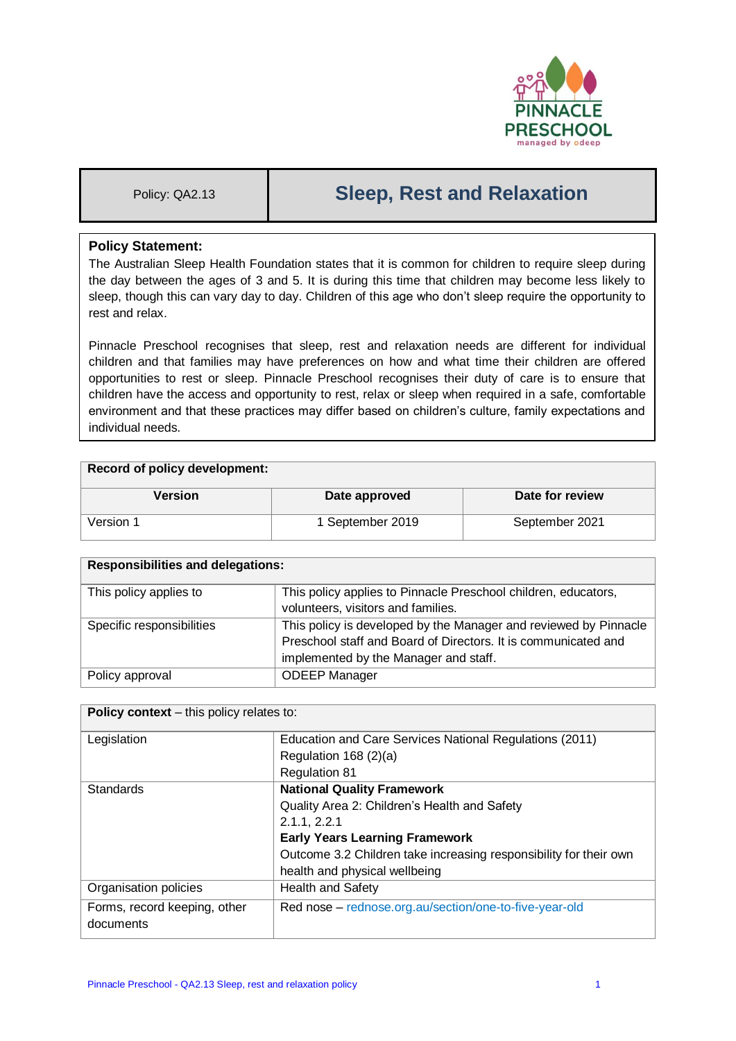

# Policy: QA2.13 **Sleep, Rest and Relaxation**

## **Policy Statement:**

The Australian Sleep Health Foundation states that it is common for children to require sleep during the day between the ages of 3 and 5. It is during this time that children may become less likely to sleep, though this can vary day to day. Children of this age who don't sleep require the opportunity to rest and relax.

Pinnacle Preschool recognises that sleep, rest and relaxation needs are different for individual children and that families may have preferences on how and what time their children are offered opportunities to rest or sleep. Pinnacle Preschool recognises their duty of care is to ensure that children have the access and opportunity to rest, relax or sleep when required in a safe, comfortable environment and that these practices may differ based on children's culture, family expectations and individual needs.

| Record of policy development: |                  |                 |  |
|-------------------------------|------------------|-----------------|--|
| Version                       | Date approved    | Date for review |  |
| Version 1                     | 1 September 2019 | September 2021  |  |

| <b>Responsibilities and delegations:</b> |                                                                  |  |
|------------------------------------------|------------------------------------------------------------------|--|
| This policy applies to                   | This policy applies to Pinnacle Preschool children, educators,   |  |
|                                          | volunteers, visitors and families.                               |  |
| Specific responsibilities                | This policy is developed by the Manager and reviewed by Pinnacle |  |
|                                          | Preschool staff and Board of Directors. It is communicated and   |  |
|                                          | implemented by the Manager and staff.                            |  |
| Policy approval                          | <b>ODEEP Manager</b>                                             |  |

| <b>Policy context</b> – this policy relates to: |                                                                   |  |
|-------------------------------------------------|-------------------------------------------------------------------|--|
| Legislation                                     | Education and Care Services National Regulations (2011)           |  |
|                                                 | Regulation 168 (2)(a)                                             |  |
|                                                 | <b>Regulation 81</b>                                              |  |
| <b>Standards</b>                                | <b>National Quality Framework</b>                                 |  |
|                                                 | Quality Area 2: Children's Health and Safety                      |  |
|                                                 | 2.1.1, 2.2.1                                                      |  |
|                                                 | <b>Early Years Learning Framework</b>                             |  |
|                                                 | Outcome 3.2 Children take increasing responsibility for their own |  |
|                                                 | health and physical wellbeing                                     |  |
| Organisation policies                           | <b>Health and Safety</b>                                          |  |
| Forms, record keeping, other<br>documents       | Red nose - rednose.org.au/section/one-to-five-year-old            |  |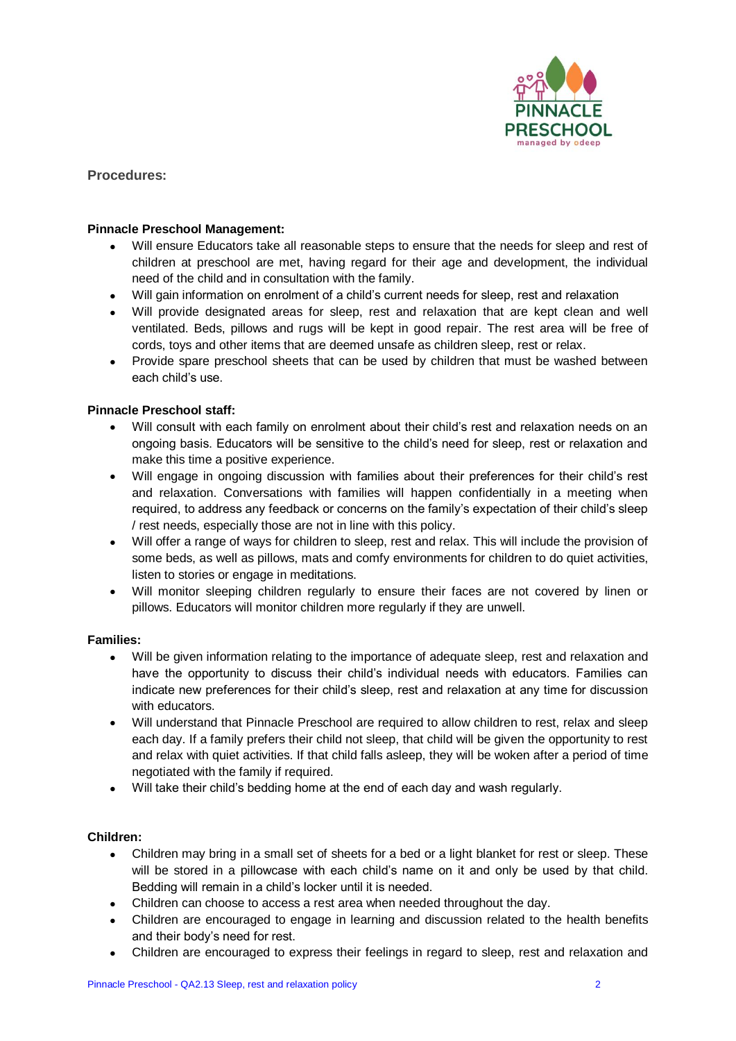

**Procedures:**

## **Pinnacle Preschool Management:**

- Will ensure Educators take all reasonable steps to ensure that the needs for sleep and rest of children at preschool are met, having regard for their age and development, the individual need of the child and in consultation with the family.
- Will gain information on enrolment of a child's current needs for sleep, rest and relaxation
- Will provide designated areas for sleep, rest and relaxation that are kept clean and well ventilated. Beds, pillows and rugs will be kept in good repair. The rest area will be free of cords, toys and other items that are deemed unsafe as children sleep, rest or relax.
- Provide spare preschool sheets that can be used by children that must be washed between each child's use.

## **Pinnacle Preschool staff:**

- Will consult with each family on enrolment about their child's rest and relaxation needs on an ongoing basis. Educators will be sensitive to the child's need for sleep, rest or relaxation and make this time a positive experience.
- Will engage in ongoing discussion with families about their preferences for their child's rest and relaxation. Conversations with families will happen confidentially in a meeting when required, to address any feedback or concerns on the family's expectation of their child's sleep / rest needs, especially those are not in line with this policy.
- Will offer a range of ways for children to sleep, rest and relax. This will include the provision of some beds, as well as pillows, mats and comfy environments for children to do quiet activities, listen to stories or engage in meditations.
- Will monitor sleeping children regularly to ensure their faces are not covered by linen or pillows. Educators will monitor children more regularly if they are unwell.

#### **Families:**

- Will be given information relating to the importance of adequate sleep, rest and relaxation and have the opportunity to discuss their child's individual needs with educators. Families can indicate new preferences for their child's sleep, rest and relaxation at any time for discussion with educators.
- Will understand that Pinnacle Preschool are required to allow children to rest, relax and sleep each day. If a family prefers their child not sleep, that child will be given the opportunity to rest and relax with quiet activities. If that child falls asleep, they will be woken after a period of time negotiated with the family if required.
- Will take their child's bedding home at the end of each day and wash regularly.

#### **Children:**

- Children may bring in a small set of sheets for a bed or a light blanket for rest or sleep. These will be stored in a pillowcase with each child's name on it and only be used by that child. Bedding will remain in a child's locker until it is needed.
- Children can choose to access a rest area when needed throughout the day.
- Children are encouraged to engage in learning and discussion related to the health benefits and their body's need for rest.
- Children are encouraged to express their feelings in regard to sleep, rest and relaxation and